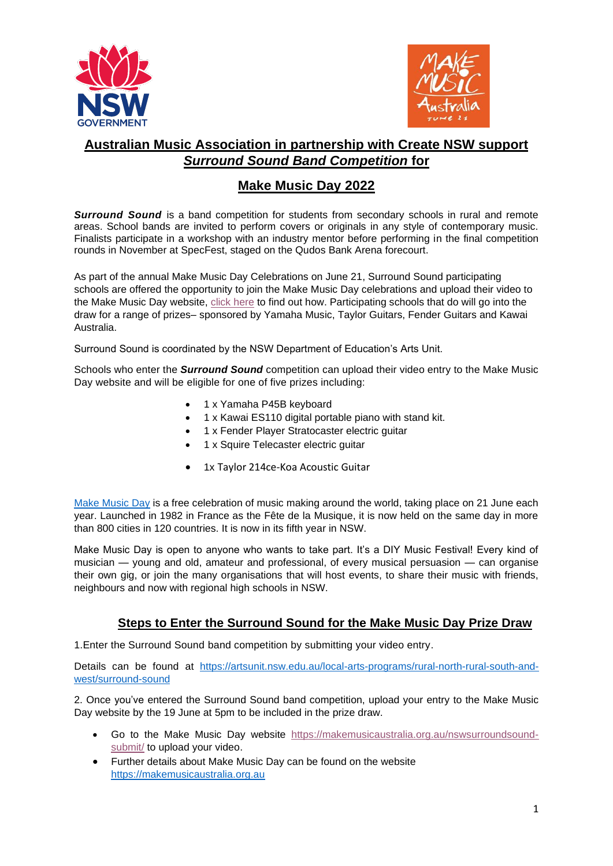



## **Australian Music Association in partnership with Create NSW support** *Surround Sound Band Competition* **for**

## **Make Music Day 2022**

**Surround Sound** is a band competition for students from secondary schools in rural and remote areas. School bands are invited to perform covers or originals in any style of contemporary music. Finalists participate in a workshop with an industry mentor before performing in the final competition rounds in November at SpecFest, staged on the Qudos Bank Arena forecourt.

As part of the annual Make Music Day Celebrations on June 21, Surround Sound participating schools are offered the opportunity to join the Make Music Day celebrations and upload their video to the Make Music Day website, [click here](https://makemusicaustralia.org.au/video-surround-sound/) to find out how. Participating schools that do will go into the draw for a range of prizes– sponsored by Yamaha Music, Taylor Guitars, Fender Guitars and Kawai Australia.

Surround Sound is coordinated by the NSW Department of Education's Arts Unit.

Schools who enter the *Surround Sound* competition can upload their video entry to the Make Music Day website and will be eligible for one of five prizes including:

- 1 x Yamaha P45B keyboard
- 1 x Kawai ES110 digital portable piano with stand kit.
- 1 x Fender Player Stratocaster electric guitar
- 1 x Squire Telecaster electric guitar
- 1x Taylor 214ce-Koa Acoustic Guitar

[Make Music Day](file://///ppascmg4001/Create-NSW-Group/Engagement,%20Partnerships%20+%20Development/2020%20-%202021/Make%20Music%20Day%202021/4.%20Australian%20Music%20Association/Surround%20Sound/(https:/www.create.nsw.gov.au/arts-in-nsw/make-music-day-2021/)) is a free celebration of music making around the world, taking place on 21 June each year. Launched in 1982 in France as the Fête de la Musique, it is now held on the same day in more than 800 cities in 120 countries. It is now in its fifth year in NSW.

Make Music Day is open to anyone who wants to take part. It's a DIY Music Festival! Every kind of musician — young and old, amateur and professional, of every musical persuasion — can organise their own gig, or join the many organisations that will host events, to share their music with friends, neighbours and now with regional high schools in NSW.

## **Steps to Enter the Surround Sound for the Make Music Day Prize Draw**

1.Enter the Surround Sound band competition by submitting your video entry.

Details can be found at [https://artsunit.nsw.edu.au/local-arts-programs/rural-north-rural-south-and](https://artsunit.nsw.edu.au/local-arts-programs/rural-north-rural-south-and-west/surround-sound)[west/surround-sound](https://artsunit.nsw.edu.au/local-arts-programs/rural-north-rural-south-and-west/surround-sound)

2. Once you've entered the Surround Sound band competition, upload your entry to the Make Music Day website by the 19 June at 5pm to be included in the prize draw.

- Go to the Make Music Day website [https://makemusicaustralia.org.au/nswsurroundsound](https://makemusicaustralia.org.au/nswsurroundsound-submit/)[submit/](https://makemusicaustralia.org.au/nswsurroundsound-submit/) to upload your video.
- Further details about Make Music Day can be found on the website [https://makemusicaustralia.org.au](https://makemusicaustralia.org.au/)